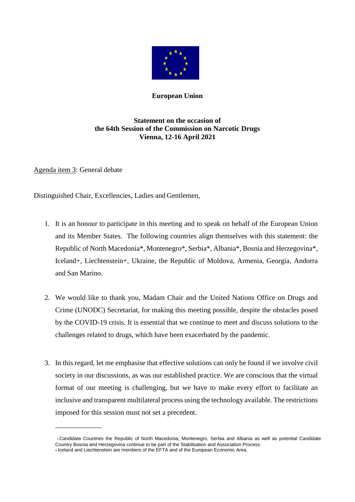

## **European Union**

## **Statement on the occasion of the 64th Session of the Commission on Narcotic Drugs Vienna, 12-16 April 2021**

Agenda item 3: General debate

\_\_\_\_\_\_\_\_\_\_\_\_\_

Distinguished Chair, Excellencies, Ladies and Gentlemen,

- 1. It is an honour to participate in this meeting and to speak on behalf of the European Union and its Member States. The following countries align themselves with this statement: the Republic of North Macedonia\*, Montenegro\*, Serbia\*, Albania\*, Bosnia and Herzegovina\*, Iceland+, Liechtenstein+, Ukraine, the Republic of Moldova, Armenia, Georgia, Andorra and San Marino.
- 2. We would like to thank you, Madam Chair and the United Nations Office on Drugs and Crime (UNODC) Secretariat, for making this meeting possible, despite the obstacles posed by the COVID-19 crisis. It is essential that we continue to meet and discuss solutions to the challenges related to drugs, which have been exacerbated by the pandemic.
- 3. In this regard, let me emphasise that effective solutions can only be found if we involve civil society in our discussions, as was our established practice. We are conscious that the virtual format of our meeting is challenging, but we have to make every effort to facilitate an inclusive and transparent multilateral process using the technology available. The restrictions imposed for this session must not set a precedent.

Candidate Countries the Republic of North Macedonia, Montenegro, Serbia and Albania as well as potential Candidate Country Bosnia and Herzegovina continue to be part of the Stabilisation and Association Process. **<sup>+</sup>**Iceland and Liechtenstein are members of the EFTA and of the European Economic Area.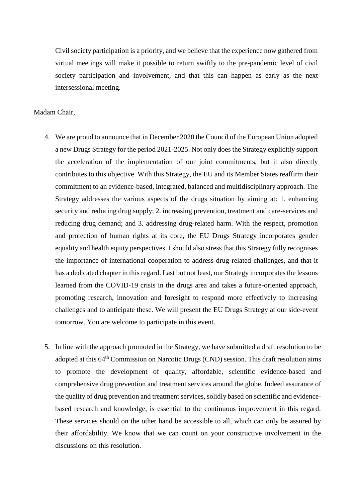Civil society participation is a priority, and we believe that the experience now gathered from virtual meetings will make it possible to return swiftly to the pre-pandemic level of civil society participation and involvement, and that this can happen as early as the next intersessional meeting.

## Madam Chair,

- 4. We are proud to announce that in December 2020 the Council of the European Union adopted a new Drugs Strategy for the period 2021-2025. Not only does the Strategy explicitly support the acceleration of the implementation of our joint commitments, but it also directly contributes to this objective. With this Strategy, the EU and its Member States reaffirm their commitment to an evidence-based, integrated, balanced and multidisciplinary approach. The Strategy addresses the various aspects of the drugs situation by aiming at: 1. enhancing security and reducing drug supply; 2. increasing prevention, treatment and care-services and reducing drug demand; and 3. addressing drug-related harm. With the respect, promotion and protection of human rights at its core, the EU Drugs Strategy incorporates gender equality and health equity perspectives. I should also stress that this Strategy fully recognises the importance of international cooperation to address drug-related challenges, and that it has a dedicated chapter in this regard. Last but not least, our Strategy incorporates the lessons learned from the COVID-19 crisis in the drugs area and takes a future-oriented approach, promoting research, innovation and foresight to respond more effectively to increasing challenges and to anticipate these. We will present the EU Drugs Strategy at our side-event tomorrow. You are welcome to participate in this event.
- 5. In line with the approach promoted in the Strategy, we have submitted a draft resolution to be adopted at this 64<sup>th</sup> Commission on Narcotic Drugs (CND) session. This draft resolution aims to promote the development of quality, affordable, scientific evidence-based and comprehensive drug prevention and treatment services around the globe. Indeed assurance of the quality of drug prevention and treatment services, solidly based on scientific and evidencebased research and knowledge, is essential to the continuous improvement in this regard. These services should on the other hand be accessible to all, which can only be assured by their affordability. We know that we can count on your constructive involvement in the discussions on this resolution.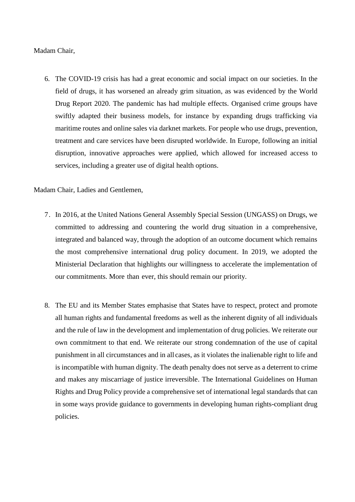## Madam Chair,

6. The COVID-19 crisis has had a great economic and social impact on our societies. In the field of drugs, it has worsened an already grim situation, as was evidenced by the World Drug Report 2020. The pandemic has had multiple effects. Organised crime groups have swiftly adapted their business models, for instance by expanding drugs trafficking via maritime routes and online sales via darknet markets. For people who use drugs, prevention, treatment and care services have been disrupted worldwide. In Europe, following an initial disruption, innovative approaches were applied, which allowed for increased access to services, including a greater use of digital health options.

Madam Chair, Ladies and Gentlemen,

- 7. In 2016, at the United Nations General Assembly Special Session (UNGASS) on Drugs, we committed to addressing and countering the world drug situation in a comprehensive, integrated and balanced way, through the adoption of an outcome document which remains the most comprehensive international drug policy document. In 2019, we adopted the Ministerial Declaration that highlights our willingness to accelerate the implementation of our commitments. More than ever, this should remain our priority.
- 8. The EU and its Member States emphasise that States have to respect, protect and promote all human rights and fundamental freedoms as well as the inherent dignity of all individuals and the rule of law in the development and implementation of drug policies. We reiterate our own commitment to that end. We reiterate our strong condemnation of the use of capital punishment in all circumstances and in all cases, as it violates the inalienable right to life and is incompatible with human dignity. The death penalty does not serve as a deterrent to crime and makes any miscarriage of justice irreversible. The International Guidelines on Human Rights and Drug Policy provide a comprehensive set of international legal standards that can in some ways provide guidance to governments in developing human rights-compliant drug policies.